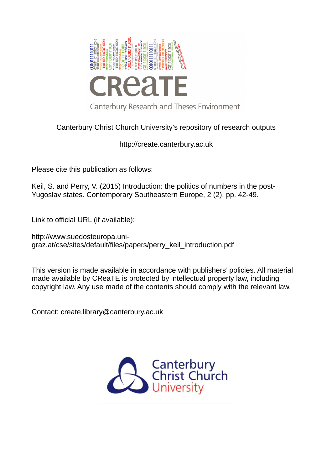

### Canterbury Christ Church University's repository of research outputs

http://create.canterbury.ac.uk

Please cite this publication as follows:

Keil, S. and Perry, V. (2015) Introduction: the politics of numbers in the post-Yugoslav states. Contemporary Southeastern Europe, 2 (2). pp. 42-49.

Link to official URL (if available):

http://www.suedosteuropa.unigraz.at/cse/sites/default/files/papers/perry\_keil\_introduction.pdf

This version is made available in accordance with publishers' policies. All material made available by CReaTE is protected by intellectual property law, including copyright law. Any use made of the contents should comply with the relevant law.

Contact: create.library@canterbury.ac.uk

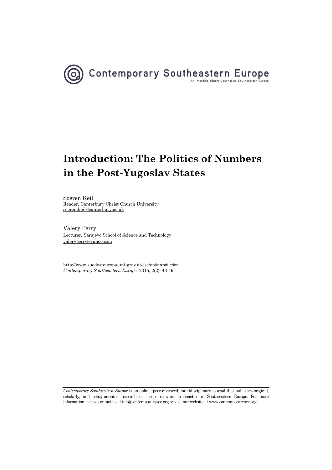

# **Introduction: The Politics of Numbers in the Post-Yugoslav States**

Soeren Keil Reader, Canterbury Christ Church University [soeren.keil@canterbury.ac.uk](mailto:soeren.keil@canterbury.ac.uk) 

Valery Perry Lecturer, Sarajevo School of Science and Technology [valeryperry@yahoo.com](mailto:valeryperry@yahoo.com) 

[http://www.suedosteuropa.uni-graz.at/cse/en/](http://www.suedosteuropa.uni-graz.at/cse/en/introduction)introduction *Contemporary Southeastern Europe,* 2015, 2(2), 43-49

*Contemporary Southeastern Europe* is an online, peer-reviewed, multidisciplinary journal that publishes original, scholarly, and policy-oriented research on issues relevant to societies in Southeastern Europe. For more information, please contact us a[t info@contemporarysee.org o](mailto:info@contemporarysee.org)r visit our website a[t www.contemporarysee.org](http://www.contemporarysee.org/)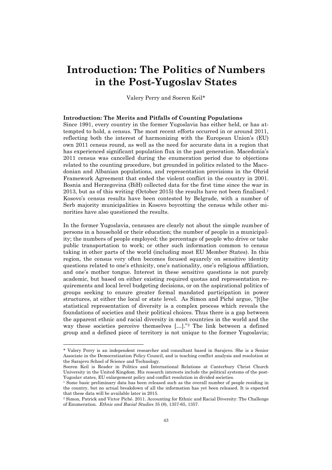## **Introduction: The Politics of Numbers in the Post-Yugoslav States**

Valery Perry and Soeren Keil\*

#### **Introduction: The Merits and Pitfalls of Counting Populations**

Since 1991, every country in the former Yugoslavia has either held, or has attempted to hold, a census. The most recent efforts occurred in or around 2011, reflecting both the interest of harmonizing with the European Union's (EU) own 2011 census round, as well as the need for accurate data in a region that has experienced significant population flux in the past generation. Macedonia's 2011 census was cancelled during the enumeration period due to objections related to the counting procedure, but grounded in politics related to the Macedonian and Albanian populations, and representation provisions in the Ohrid Framework Agreement that ended the violent conflict in the country in 2001. Bosnia and Herzegovina (BiH) collected data for the first time since the war in 2013, but as of this writing (October 2015) the results have not been finalised.<sup>1</sup> Kosovo's census results have been contested by Belgrade, with a number of Serb majority municipalities in Kosovo boycotting the census while other minorities have also questioned the results.

In the former Yugoslavia, censuses are clearly not about the simple number of persons in a household or their education; the number of people in a municipality; the numbers of people employed; the percentage of people who drive or take public transportation to work; or other such information common to census taking in other parts of the world (including most EU Member States). In this region, the census very often becomes focused squarely on sensitive identity questions related to one's ethnicity, one's nationality, one's religious affiliation, and one's mother tongue. Interest in these sensitive questions is not purely academic, but based on either existing required quotas and representation requirements and local level budgeting decisions, or on the aspirational politics of groups seeking to ensure greater formal mandated participation in power structures, at either the local or state level. As Simon and Piché argue, "[t]he statistical representation of diversity is a complex process which reveals the foundations of societies and their political choices. Thus there is a gap between the apparent ethnic and racial diversity in most countries in the world and the way these societies perceive themselves [...]."<sup>2</sup> The link between a defined group and a defined piece of territory is not unique to the former Yugoslavia;

 $\overline{a}$ 

<sup>\*</sup> Valery Perry is an independent researcher and consultant based in Sarajevo. She is a Senior Associate in the Democratization Policy Council, and is teaching conflict analysis and resolution at the Sarajevo School of Science and Technology.

Soeren Keil is Reader in Politics and International Relations at Canterbury Christ Church University in the United Kingdom. His research interests include the political systems of the post-Yugoslav states, EU enlargement policy and conflict resolution in divided societies.

 $<sup>1</sup>$  Some basic preliminary data has been released such as the overall number of people residing in</sup> the country, but no actual breakdown of all the information has yet been released. It is expected that these data will be available later in 2015.

<sup>2</sup> Simon, Patrick and Victor Piché. 2011. Accounting for Ethnic and Racial Diversity: The Challenge of Enumeration. *Ethnic and Racial Studies* 35 (8), 1357-65, 1357.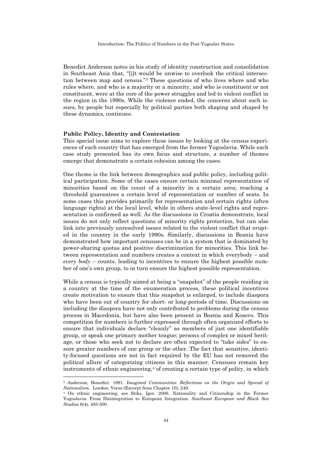Benedict Anderson notes in his study of identity construction and consolidation in Southeast Asia that, "[i]t would be unwise to overlook the critical intersection between map and census."3 These questions of who lives where and who rules where, and who is a majority or a minority, and who is constituent or not constituent, were at the core of the power struggles and led to violent conflict in the region in the 1990s. While the violence ended, the concerns about such issues, by people but especially by political parties both shaping and shaped by these dynamics, continues.

#### **Public Policy, Identity and Contestation**

This special issue aims to explore these issues by looking at the census experiences of each country that has emerged from the former Yugoslavia. While each case study presented has its own focus and structure, a number of themes emerge that demonstrate a certain cohesion among the cases.

One theme is the link between demographics and public policy, including political participation. Some of the cases ensure certain minimal representation of minorities based on the count of a minority in a certain area; reaching a threshold guarantees a certain level of representation or number of seats. In some cases this provides primarily for representation and certain rights (often language rights) at the local level, while in others state-level rights and representation is confirmed as well. As the discussions in Croatia demonstrate, local issues do not only reflect questions of minority rights protection, but can also link into previously unresolved issues related to the violent conflict that erupted in the country in the early 1990s. Similarly, discussions in Bosnia have demonstrated how important censuses can be in a system that is dominated by power-sharing quotas and positive discrimination for minorities. This link between representation and numbers creates a context in which everybody – and *every body* – counts, leading to incentives to ensure the highest possible number of one's own group, to in turn ensure the highest possible representation.

While a census is typically aimed at being a "snapshot" of the people residing in a country at the time of the enumeration process, these political incentives create motivation to ensure that this snapshot is enlarged, to include diaspora who have been out of country for short- or long-periods of time. Discussions on including the diaspora have not only contributed to problems during the census process in Macedonia, but have also been present in Bosnia and Kosovo. This competition for numbers is further expressed through often organized efforts to ensure that individuals declare "cleanly" as members of just one identifiable group, or speak one primary mother tongue; persons of complex or mixed heritage, or those who seek not to declare are often expected to "take sides" to ensure greater numbers of one group or the other. The fact that sensitive, identity-focused questions are not in fact required by the EU has not removed the political allure of categorizing citizens in this manner. Censuses remain key instruments of ethnic engineering,<sup>4</sup> of creating a certain type of polity, in which  $\overline{a}$ 

<sup>3</sup> Anderson, Benedict. 1991. *Imagined Communities: Reflections on the Origin and Spread of Nationalism*. London: Verso (Excerpt from Chapter 10), 249.

<sup>4</sup> On ethnic engineering, see Stiks, Igor. 2006. Nationality and Citizenship in the Former Yugoslavia: From Disintegration to European Integration. *Southeast European and Black Sea Studies* 6(4), 483-500.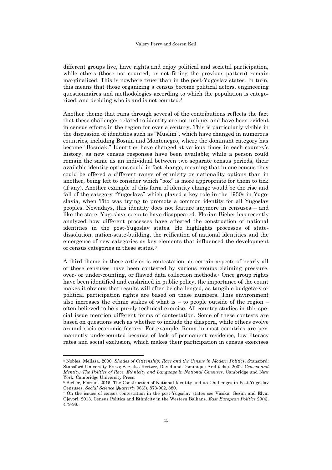different groups live, have rights and enjoy political and societal participation, while others (those not counted, or not fitting the previous pattern) remain marginalized. This is nowhere truer than in the post-Yugoslav states. In turn, this means that those organizing a census become political actors, engineering questionnaires and methodologies according to which the population is categorized, and deciding who is and is not counted.<sup>5</sup>

Another theme that runs through several of the contributions reflects the fact that these challenges related to identity are not unique, and have been evident in census efforts in the region for over a century. This is particularly visible in the discussion of identities such as "Muslim", which have changed in numerous countries, including Bosnia and Montenegro, where the dominant category has become "Bosniak." Identities have changed at various times in each country's history, as new census responses have been available; while a person could remain the same as an individual between two separate census periods, their available identity options could in fact change, meaning that in one census they could be offered a different range of ethnicity or nationality options than in another, being left to consider which "box" is more appropriate for them to tick (if any). Another example of this form of identity change would be the rise and fall of the category "Yugoslavs" which played a key role in the 1950s in Yugoslavia, when Tito was trying to promote a common identity for all Yugoslav peoples. Nowadays, this identity does not feature anymore in censuses – and like the state, Yugoslavs seem to have disappeared. Florian Bieber has recently analyzed how different processes have affected the construction of national identities in the post-Yugoslav states. He highlights processes of statedissolution, nation-state-building, the reification of national identities and the emergence of new categories as key elements that influenced the development of census categories in these states.<sup>6</sup>

A third theme in these articles is contestation, as certain aspects of nearly all of these censuses have been contested by various groups claiming pressure, over- or under-counting, or flawed data collection methods.7 Once group rights have been identified and enshrined in public policy, the importance of the count makes it obvious that results will often be challenged, as tangible budgetary or political participation rights are based on these numbers. This environment also increases the ethnic stakes of what is  $-$  to people outside of the region  $$ often believed to be a purely technical exercise. All country studies in this special issue mention different forms of contestation. Some of these contests are based on questions such as whether to include the diaspora, while others evolve around socio-economic factors. For example, Roma in most countries are permanently undercounted because of lack of permanent residence, low literacy rates and social exclusion, which makes their participation in census exercises

 $\overline{a}$ 

<sup>5</sup> Nobles, Melissa. 2000. *Shades of Citizenship: Race and the Census in Modern Politics*. Stansford: Stansford University Press; See also Kertzer, David and Dominique Arel (eds.). 2002. *Census and Identity: The Politics of Race, Ethnicity and Language in National Censuses*. Cambridge and New York: Cambridge University Press.

<sup>6</sup> Bieber, Florian. 2015. The Construction of National Identity and its Challenges in Post-Yugoslav Censuses. *Social Science Quarterly* 96(3), 873-902, 880.

<sup>7</sup> On the issues of census contestation in the post-Yugoslav states see Visoka, Gëzim and Elvin Gjevori. 2013. Census Politics and Ethnicity in the Western Balkans. *East European Politics* 29(4), 479-98.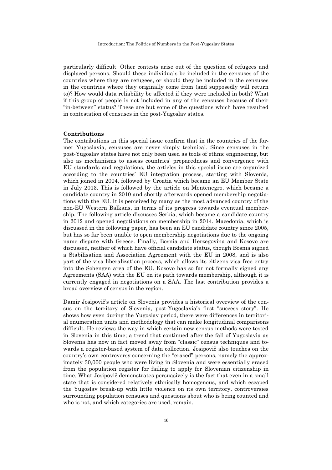particularly difficult. Other contests arise out of the question of refugees and displaced persons. Should these individuals be included in the censuses of the countries where they are refugees, or should they be included in the censuses in the countries where they originally come from (and supposedly will return to)? How would data reliability be affected if they were included in both? What if this group of people is not included in any of the censuses because of their "in-between" status? These are but some of the questions which have resulted in contestation of censuses in the post-Yugoslav states.

#### **Contributions**

The contributions in this special issue confirm that in the countries of the former Yugoslavia, censuses are never simply technical. Since censuses in the post-Yugoslav states have not only been used as tools of ethnic engineering, but also as mechanisms to assess countries' preparedness and convergence with EU standards and regulations, the articles in this special issue are organized according to the countries' EU integration process, starting with Slovenia, which joined in 2004, followed by Croatia which became an EU Member State in July 2013. This is followed by the article on Montenegro, which became a candidate country in 2010 and shortly afterwards opened membership negotiations with the EU. It is perceived by many as the most advanced country of the non-EU Western Balkans, in terms of its progress towards eventual membership. The following article discusses Serbia, which became a candidate country in 2012 and opened negotiations on membership in 2014. Macedonia, which is discussed in the following paper, has been an EU candidate country since 2005, but has so far been unable to open membership negotiations due to the ongoing name dispute with Greece. Finally, Bosnia and Herzegovina and Kosovo are discussed, neither of which have official candidate status, though Bosnia signed a Stabilisation and Association Agreement with the EU in 2008, and is also part of the visa liberalization process, which allows its citizens visa free entry into the Schengen area of the EU. Kosovo has so far not formally signed any Agreements (SAA) with the EU on its path towards membership, although it is currently engaged in negotiations on a SAA. The last contribution provides a broad overview of census in the region.

Damir Josipovič's article on Slovenia provides a historical overview of the census on the territory of Slovenia, post-Yugoslavia's first "success story". He shows how even during the Yugoslav period, there were differences in territorial enumeration units and methodology that can make longitudinal comparisons difficult. He reviews the way in which certain new census methods were tested in Slovenia in this time; a trend that continued after the fall of Yugoslavia as Slovenia has now in fact moved away from "classic" census techniques and towards a register-based system of data collection. Josipovič also touches on the country's own controversy concerning the "erased" persons, namely the approximately 30,000 people who were living in Slovenia and were essentially erased from the population register for failing to apply for Slovenian citizenship in time. What Josipovič demonstrates persuasively is the fact that even in a small state that is considered relatively ethnically homogenous, and which escaped the Yugoslav break-up with little violence on its own territory, controversies surrounding population censuses and questions about who is being counted and who is not, and which categories are used, remain.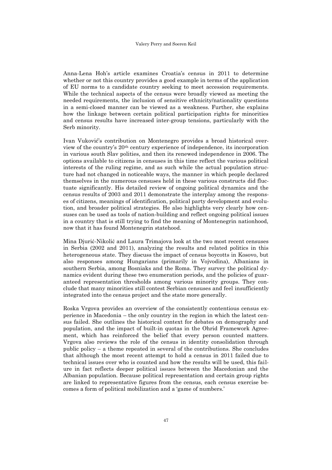Anna-Lena Hoh's article examines Croatia's census in 2011 to determine whether or not this country provides a good example in terms of the application of EU norms to a candidate country seeking to meet accession requirements. While the technical aspects of the census were broadly viewed as meeting the needed requirements, the inclusion of sensitive ethnicity/nationality questions in a semi-closed manner can be viewed as a weakness. Further, she explains how the linkage between certain political participation rights for minorities and census results have increased inter-group tensions, particularly with the Serb minority.

Ivan Vuković's contribution on Montenegro provides a broad historical overview of the country's 20th century experience of independence, its incorporation in various south Slav polities, and then its renewed independence in 2006. The options available to citizens in censuses in this time reflect the various political interests of the ruling regime, and as such while the actual population structure had not changed in noticeable ways, the manner in which people declared themselves in the numerous censuses held in these various constructs did fluctuate significantly. His detailed review of ongoing political dynamics and the census results of 2003 and 2011 demonstrate the interplay among the responses of citizens, meanings of identification, political party development and evolution, and broader political strategies. He also highlights very clearly how censuses can be used as tools of nation-building and reflect ongoing political issues in a country that is still trying to find the meaning of Montenegrin nationhood, now that it has found Montenegrin statehood.

Mina Djurić-Nikolić and Laura Trimajova look at the two most recent censuses in Serbia (2002 and 2011), analyzing the results and related politics in this heterogeneous state. They discuss the impact of census boycotts in Kosovo, but also responses among Hungarians (primarily in Vojvodina), Albanians in southern Serbia, among Bosniaks and the Roma. They survey the political dynamics evident during these two enumeration periods, and the policies of guaranteed representation thresholds among various minority groups. They conclude that many minorities still contest Serbian censuses and feel insufficiently integrated into the census project and the state more generally.

Roska Vrgova provides an overview of the consistently contentious census experience in Macedonia – the only country in the region in which the latest census failed. She outlines the historical context for debates on demography and population, and the impact of built-in quotas in the Ohrid Framework Agreement, which has reinforced the belief that every person counted matters. Vrgova also reviews the role of the census in identity consolidation through public policy – a theme repeated in several of the contributions. She concludes that although the most recent attempt to hold a census in 2011 failed due to technical issues over who is counted and how the results will be used, this failure in fact reflects deeper political issues between the Macedonian and the Albanian population. Because political representation and certain group rights are linked to representative figures from the census, each census exercise becomes a form of political mobilization and a 'game of numbers.'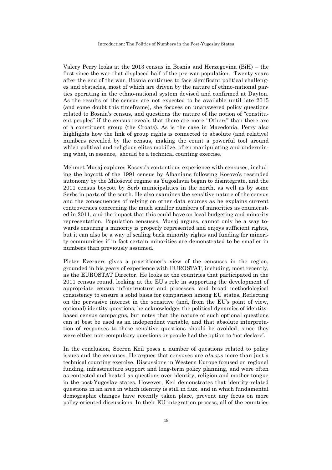Valery Perry looks at the 2013 census in Bosnia and Herzegovina (BiH) – the first since the war that displaced half of the pre-war population. Twenty years after the end of the war, Bosnia continues to face significant political challenges and obstacles, most of which are driven by the nature of ethno-national parties operating in the ethno-national system devised and confirmed at Dayton. As the results of the census are not expected to be available until late 2015 (and some doubt this timeframe), she focuses on unanswered policy questions related to Bosnia's census, and questions the nature of the notion of "constituent peoples" if the census reveals that there are more "Others" than there are of a constituent group (the Croats). As is the case in Macedonia, Perry also highlights how the link of group rights is connected to absolute (and relative) numbers revealed by the census, making the count a powerful tool around which political and religious elites mobilize, often manipulating and undermining what, in essence, should be a technical counting exercise.

Mehmet Musaj explores Kosovo's contentious experience with censuses, including the boycott of the 1991 census by Albanians following Kosovo's rescinded autonomy by the Milošević regime as Yugoslavia began to disintegrate, and the 2011 census boycott by Serb municipalities in the north, as well as by some Serbs in parts of the south. He also examines the sensitive nature of the census and the consequences of relying on other data sources as he explains current controversies concerning the much smaller numbers of minorities as enumerated in 2011, and the impact that this could have on local budgeting and minority representation. Population censuses, Musaj argues, cannot only be a way towards ensuring a minority is properly represented and enjoys sufficient rights, but it can also be a way of scaling back minority rights and funding for minority communities if in fact certain minorities are demonstrated to be smaller in numbers than previously assumed.

Pieter Everaers gives a practitioner's view of the censuses in the region, grounded in his years of experience with EUROSTAT, including, most recently, as the EUROSTAT Director. He looks at the countries that participated in the 2011 census round, looking at the EU's role in supporting the development of appropriate census infrastructure and processes, and broad methodological consistency to ensure a solid basis for comparison among EU states. Reflecting on the pervasive interest in the sensitive (and, from the EU's point of view, optional) identity questions, he acknowledges the political dynamics of identitybased census campaigns, but notes that the nature of such optional questions can at best be used as an independent variable, and that absolute interpretation of responses to these sensitive questions should be avoided, since they were either non-compulsory questions or people had the option to 'not declare'.

In the conclusion, Soeren Keil poses a number of questions related to policy issues and the censuses. He argues that censuses are *always* more than just a technical counting exercise. Discussions in Western Europe focused on regional funding, infrastructure support and long-term policy planning, and were often as contested and heated as questions over identity, religion and mother tongue in the post-Yugoslav states. However, Keil demonstrates that identity-related questions in an area in which identity is still in flux, and in which fundamental demographic changes have recently taken place, prevent any focus on more policy-oriented discussions. In their EU integration process, all of the countries